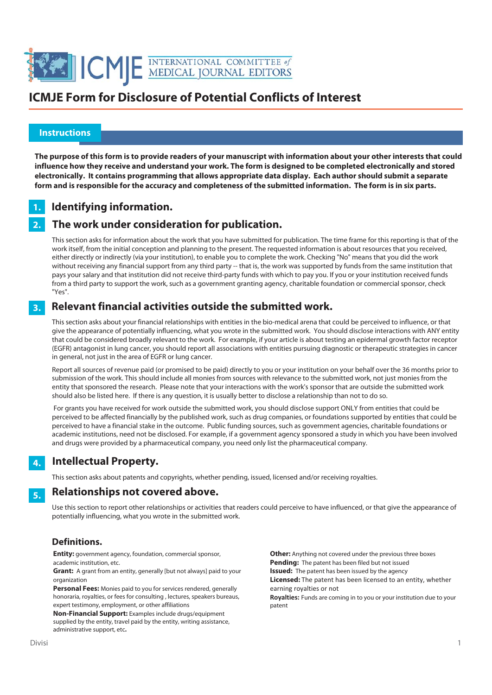

### **Instructions**

 l

> **The purpose of this form is to provide readers of your manuscript with information about your other interests that could influence how they receive and understand your work. The form is designed to be completed electronically and stored electronically. It contains programming that allows appropriate data display. Each author should submit a separate form and is responsible for the accuracy and completeness of the submitted information. The form is in six parts.**

#### **Identifying information. 1.**

### **The work under consideration for publication. 2.**

This section asks for information about the work that you have submitted for publication. The time frame for this reporting is that of the work itself, from the initial conception and planning to the present. The requested information is about resources that you received, either directly or indirectly (via your institution), to enable you to complete the work. Checking "No" means that you did the work without receiving any financial support from any third party -- that is, the work was supported by funds from the same institution that pays your salary and that institution did not receive third-party funds with which to pay you. If you or your institution received funds from a third party to support the work, such as a government granting agency, charitable foundation or commercial sponsor, check "Yes".

### **Relevant financial activities outside the submitted work. 3.**

This section asks about your financial relationships with entities in the bio-medical arena that could be perceived to influence, or that give the appearance of potentially influencing, what you wrote in the submitted work. You should disclose interactions with ANY entity that could be considered broadly relevant to the work. For example, if your article is about testing an epidermal growth factor receptor (EGFR) antagonist in lung cancer, you should report all associations with entities pursuing diagnostic or therapeutic strategies in cancer in general, not just in the area of EGFR or lung cancer.

Report all sources of revenue paid (or promised to be paid) directly to you or your institution on your behalf over the 36 months prior to submission of the work. This should include all monies from sources with relevance to the submitted work, not just monies from the entity that sponsored the research. Please note that your interactions with the work's sponsor that are outside the submitted work should also be listed here. If there is any question, it is usually better to disclose a relationship than not to do so.

 For grants you have received for work outside the submitted work, you should disclose support ONLY from entities that could be perceived to be affected financially by the published work, such as drug companies, or foundations supported by entities that could be perceived to have a financial stake in the outcome. Public funding sources, such as government agencies, charitable foundations or academic institutions, need not be disclosed. For example, if a government agency sponsored a study in which you have been involved and drugs were provided by a pharmaceutical company, you need only list the pharmaceutical company.

#### **Intellectual Property. 4.**

This section asks about patents and copyrights, whether pending, issued, licensed and/or receiving royalties.

### **Relationships not covered above. 5.**

Use this section to report other relationships or activities that readers could perceive to have influenced, or that give the appearance of potentially influencing, what you wrote in the submitted work.

## **Definitions.**

**Entity:** government agency, foundation, commercial sponsor, academic institution, etc.

**Grant:** A grant from an entity, generally [but not always] paid to your organization

**Personal Fees:** Monies paid to you for services rendered, generally honoraria, royalties, or fees for consulting , lectures, speakers bureaus, expert testimony, employment, or other affiliations

**Non-Financial Support:** Examples include drugs/equipment supplied by the entity, travel paid by the entity, writing assistance, administrative support, etc**.**

**Other:** Anything not covered under the previous three boxes **Pending:** The patent has been filed but not issued **Issued:** The patent has been issued by the agency **Licensed:** The patent has been licensed to an entity, whether earning royalties or not **Royalties:** Funds are coming in to you or your institution due to your patent

Divisi 1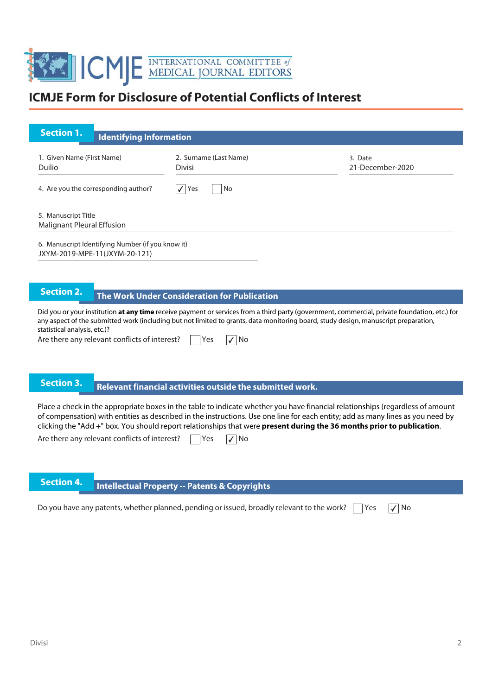

| <b>Section 1.</b>                                                                                                                                                                                                                                                                                                                                                                                                                                                         | <b>Identifying Information</b>                           |                                  |    |                             |  |  |  |  |
|---------------------------------------------------------------------------------------------------------------------------------------------------------------------------------------------------------------------------------------------------------------------------------------------------------------------------------------------------------------------------------------------------------------------------------------------------------------------------|----------------------------------------------------------|----------------------------------|----|-----------------------------|--|--|--|--|
| 1. Given Name (First Name)<br>Duilio                                                                                                                                                                                                                                                                                                                                                                                                                                      |                                                          | 2. Surname (Last Name)<br>Divisi |    | 3. Date<br>21-December-2020 |  |  |  |  |
| 4. Are you the corresponding author?                                                                                                                                                                                                                                                                                                                                                                                                                                      |                                                          | $\sqrt{ }$ Yes                   | No |                             |  |  |  |  |
| 5. Manuscript Title<br><b>Malignant Pleural Effusion</b>                                                                                                                                                                                                                                                                                                                                                                                                                  |                                                          |                                  |    |                             |  |  |  |  |
| 6. Manuscript Identifying Number (if you know it)<br>JXYM-2019-MPE-11(JXYM-20-121)                                                                                                                                                                                                                                                                                                                                                                                        |                                                          |                                  |    |                             |  |  |  |  |
| <b>Section 2.</b><br>The Work Under Consideration for Publication                                                                                                                                                                                                                                                                                                                                                                                                         |                                                          |                                  |    |                             |  |  |  |  |
| Did you or your institution at any time receive payment or services from a third party (government, commercial, private foundation, etc.) for<br>any aspect of the submitted work (including but not limited to grants, data monitoring board, study design, manuscript preparation,<br>statistical analysis, etc.)?<br>Are there any relevant conflicts of interest?<br>No<br>$\mathcal{J}$<br>Yes                                                                       |                                                          |                                  |    |                             |  |  |  |  |
| <b>Section 3.</b><br>Relevant financial activities outside the submitted work.                                                                                                                                                                                                                                                                                                                                                                                            |                                                          |                                  |    |                             |  |  |  |  |
| Place a check in the appropriate boxes in the table to indicate whether you have financial relationships (regardless of amount<br>of compensation) with entities as described in the instructions. Use one line for each entity; add as many lines as you need by<br>clicking the "Add +" box. You should report relationships that were present during the 36 months prior to publication.<br>Are there any relevant conflicts of interest?<br>No<br>Yes<br>$\checkmark$ |                                                          |                                  |    |                             |  |  |  |  |
| <b>Section 4.</b>                                                                                                                                                                                                                                                                                                                                                                                                                                                         | <b>Intellectual Property -- Patents &amp; Copyrights</b> |                                  |    |                             |  |  |  |  |
| Do you have any patents, whether planned, pending or issued, broadly relevant to the work?<br>Yes<br>No<br>$\sqrt{2}$                                                                                                                                                                                                                                                                                                                                                     |                                                          |                                  |    |                             |  |  |  |  |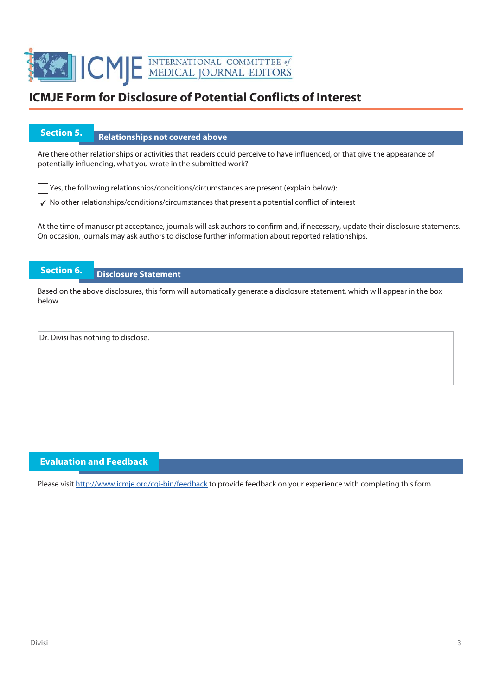

## **Section 5.** Relationships not covered above

Are there other relationships or activities that readers could perceive to have influenced, or that give the appearance of potentially influencing, what you wrote in the submitted work?

Yes, the following relationships/conditions/circumstances are present (explain below):

 $\sqrt{\phantom{a}}$  No other relationships/conditions/circumstances that present a potential conflict of interest

At the time of manuscript acceptance, journals will ask authors to confirm and, if necessary, update their disclosure statements. On occasion, journals may ask authors to disclose further information about reported relationships.

## **Section 6. Disclosure Statement**

Based on the above disclosures, this form will automatically generate a disclosure statement, which will appear in the box below.

Dr. Divisi has nothing to disclose.

## **Evaluation and Feedback**

Please visit http://www.icmje.org/cgi-bin/feedback to provide feedback on your experience with completing this form.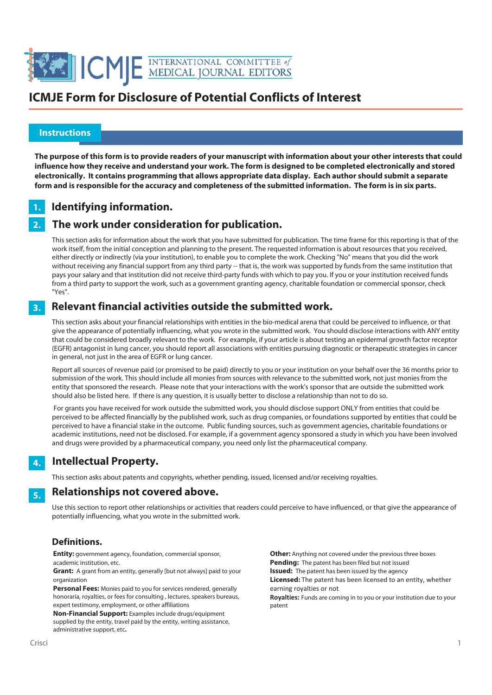

### **Instructions**

 l

> **The purpose of this form is to provide readers of your manuscript with information about your other interests that could influence how they receive and understand your work. The form is designed to be completed electronically and stored electronically. It contains programming that allows appropriate data display. Each author should submit a separate form and is responsible for the accuracy and completeness of the submitted information. The form is in six parts.**

#### **Identifying information. 1.**

### **The work under consideration for publication. 2.**

This section asks for information about the work that you have submitted for publication. The time frame for this reporting is that of the work itself, from the initial conception and planning to the present. The requested information is about resources that you received, either directly or indirectly (via your institution), to enable you to complete the work. Checking "No" means that you did the work without receiving any financial support from any third party -- that is, the work was supported by funds from the same institution that pays your salary and that institution did not receive third-party funds with which to pay you. If you or your institution received funds from a third party to support the work, such as a government granting agency, charitable foundation or commercial sponsor, check "Yes".

### **Relevant financial activities outside the submitted work. 3.**

This section asks about your financial relationships with entities in the bio-medical arena that could be perceived to influence, or that give the appearance of potentially influencing, what you wrote in the submitted work. You should disclose interactions with ANY entity that could be considered broadly relevant to the work. For example, if your article is about testing an epidermal growth factor receptor (EGFR) antagonist in lung cancer, you should report all associations with entities pursuing diagnostic or therapeutic strategies in cancer in general, not just in the area of EGFR or lung cancer.

Report all sources of revenue paid (or promised to be paid) directly to you or your institution on your behalf over the 36 months prior to submission of the work. This should include all monies from sources with relevance to the submitted work, not just monies from the entity that sponsored the research. Please note that your interactions with the work's sponsor that are outside the submitted work should also be listed here. If there is any question, it is usually better to disclose a relationship than not to do so.

 For grants you have received for work outside the submitted work, you should disclose support ONLY from entities that could be perceived to be affected financially by the published work, such as drug companies, or foundations supported by entities that could be perceived to have a financial stake in the outcome. Public funding sources, such as government agencies, charitable foundations or academic institutions, need not be disclosed. For example, if a government agency sponsored a study in which you have been involved and drugs were provided by a pharmaceutical company, you need only list the pharmaceutical company.

#### **Intellectual Property. 4.**

This section asks about patents and copyrights, whether pending, issued, licensed and/or receiving royalties.

### **Relationships not covered above. 5.**

Use this section to report other relationships or activities that readers could perceive to have influenced, or that give the appearance of potentially influencing, what you wrote in the submitted work.

## **Definitions.**

**Entity:** government agency, foundation, commercial sponsor, academic institution, etc.

**Grant:** A grant from an entity, generally [but not always] paid to your organization

**Personal Fees:** Monies paid to you for services rendered, generally honoraria, royalties, or fees for consulting , lectures, speakers bureaus, expert testimony, employment, or other affiliations

**Non-Financial Support:** Examples include drugs/equipment supplied by the entity, travel paid by the entity, writing assistance, administrative support, etc**.**

**Other:** Anything not covered under the previous three boxes **Pending:** The patent has been filed but not issued **Issued:** The patent has been issued by the agency **Licensed:** The patent has been licensed to an entity, whether earning royalties or not **Royalties:** Funds are coming in to you or your institution due to your patent

<u>Crisci</u> and the contract of the contract of the contract of the contract of the contract of the contract of the contract of the contract of the contract of the contract of the contract of the contract of the contract of t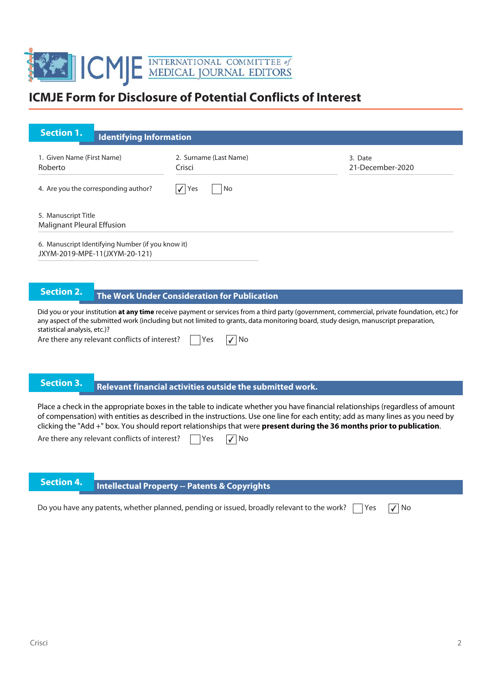

| <b>Section 1.</b>                                                                                                                                                                                                                                                                                                                                                                                                                                              | <b>Identifying Information</b>                           |                                  |    |                             |  |  |  |  |
|----------------------------------------------------------------------------------------------------------------------------------------------------------------------------------------------------------------------------------------------------------------------------------------------------------------------------------------------------------------------------------------------------------------------------------------------------------------|----------------------------------------------------------|----------------------------------|----|-----------------------------|--|--|--|--|
|                                                                                                                                                                                                                                                                                                                                                                                                                                                                |                                                          |                                  |    |                             |  |  |  |  |
| 1. Given Name (First Name)<br>Roberto                                                                                                                                                                                                                                                                                                                                                                                                                          |                                                          | 2. Surname (Last Name)<br>Crisci |    | 3. Date<br>21-December-2020 |  |  |  |  |
| 4. Are you the corresponding author?                                                                                                                                                                                                                                                                                                                                                                                                                           |                                                          | $\checkmark$ Yes                 | No |                             |  |  |  |  |
| 5. Manuscript Title<br><b>Malignant Pleural Effusion</b>                                                                                                                                                                                                                                                                                                                                                                                                       |                                                          |                                  |    |                             |  |  |  |  |
| 6. Manuscript Identifying Number (if you know it)<br>JXYM-2019-MPE-11(JXYM-20-121)                                                                                                                                                                                                                                                                                                                                                                             |                                                          |                                  |    |                             |  |  |  |  |
|                                                                                                                                                                                                                                                                                                                                                                                                                                                                |                                                          |                                  |    |                             |  |  |  |  |
| <b>Section 2.</b><br>The Work Under Consideration for Publication                                                                                                                                                                                                                                                                                                                                                                                              |                                                          |                                  |    |                             |  |  |  |  |
| Did you or your institution at any time receive payment or services from a third party (government, commercial, private foundation, etc.) for<br>any aspect of the submitted work (including but not limited to grants, data monitoring board, study design, manuscript preparation,<br>statistical analysis, etc.)?<br>Are there any relevant conflicts of interest?<br>$\sqrt{}$<br>No<br>Yes                                                                |                                                          |                                  |    |                             |  |  |  |  |
| <b>Section 3.</b><br>Relevant financial activities outside the submitted work.                                                                                                                                                                                                                                                                                                                                                                                 |                                                          |                                  |    |                             |  |  |  |  |
| Place a check in the appropriate boxes in the table to indicate whether you have financial relationships (regardless of amount<br>of compensation) with entities as described in the instructions. Use one line for each entity; add as many lines as you need by<br>clicking the "Add +" box. You should report relationships that were present during the 36 months prior to publication.<br>Are there any relevant conflicts of interest?<br>No<br>Yes<br>✓ |                                                          |                                  |    |                             |  |  |  |  |
| <b>Section 4.</b>                                                                                                                                                                                                                                                                                                                                                                                                                                              | <b>Intellectual Property -- Patents &amp; Copyrights</b> |                                  |    |                             |  |  |  |  |
| Do you have any patents, whether planned, pending or issued, broadly relevant to the work?<br>Yes<br>No<br>$\sqrt{2}$                                                                                                                                                                                                                                                                                                                                          |                                                          |                                  |    |                             |  |  |  |  |